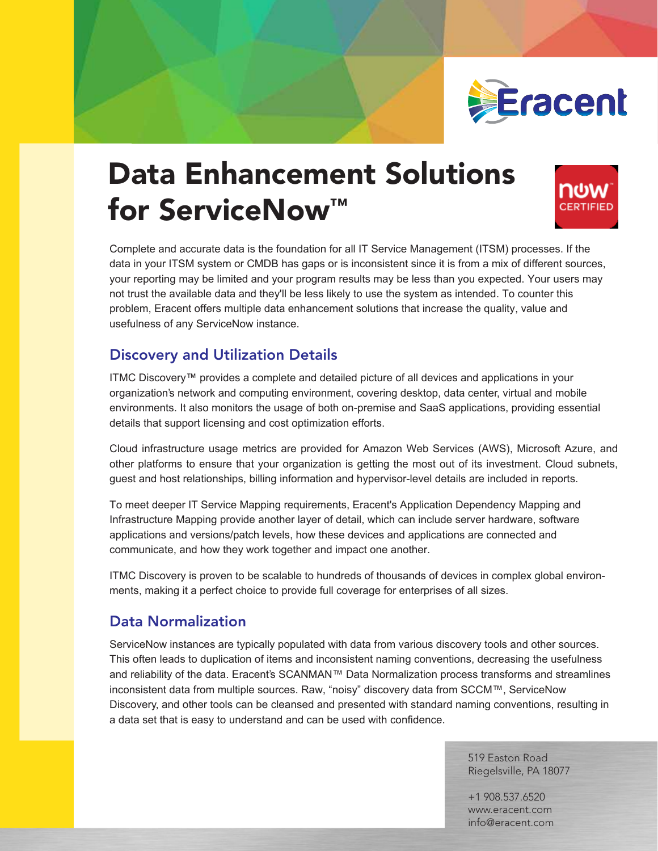# Data Enhancement Solutions for ServiceNow<sup>™</sup>

#### URWPDEPIWORDRUPMV WBDDEOHWD W**GMG**MRWMAWPIDMZ/GARRAWMAWEREO(DFLW RIIHUVOVSOHOWDHQUWADWOHUKDOWY MARXOVWYROXY 6**HRØ**/D<del>D</del>

&PS@/BQDWOWDWKR@WRQDQ6@DQFM2V,760SBMW@WD

JN R**MWWW** 

### Discovery and Utilization Details  $\n$ **W** No Macamado and  $\n$

LQ\RXU,760V\WHPRU&0'%KDVJDSVRULVQFRQVLWHQWVLQFHLWLVIURPDPL[RIGLIIHUQWVRXUFHV\RXU

RU**DDA DWAGHAWARD G HRAMANODORMO** GMOMMOLOGIAW

**@OWMGDLMDUBN@BMBNIWH** D**Q/SEWMWRWRDDDW BMGDBDDQQWDDUQ** U**RW** 

**RADDERODGGG** 

,QIUDVWUXFWUH0DSLQJSURYLGHDQRWKHUOD\HURIGHWDLOZKLFDQLFOXGHVUYHUKDUGZDUHVRIWZDUH D**DEMBRINGDEMURKG REMAN KUDBEMA** 

**UNMORAHO** HQYLURQPHWVPDNLQJLWDSHUIHFWKRLFHWRSURYLGHIXOFRYHUDJHIRUHQWUSULVHRIDOVL]HV

#### Data Normalization

**6HUYDU DARWAD RAZLADO MARAMAH** DQ**OWWOOLWEDDRHORDGDG BMAUDIORESODUCHR BUQGOOGLOUGDO** GD**MAGAMADGBW** 

> 519 Easton Road Riegelsville, PA 18077

+1 908.537.6520 www.eracent.com info@eracent.com